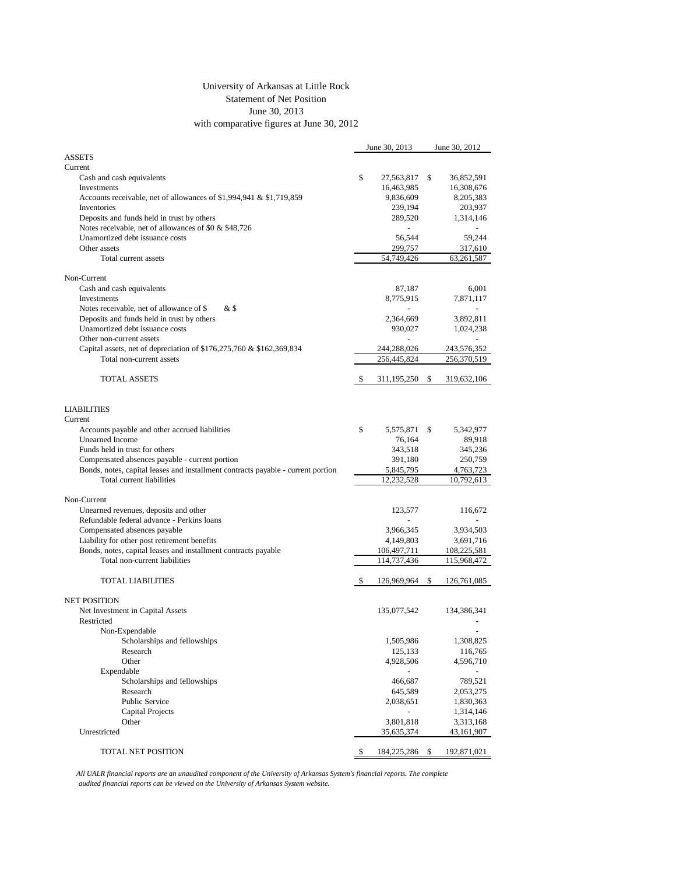## University of Arkansas at Little Rock Statement of Net Position June 30, 2013 with comparative figures at June 30, 2012

|                                                                                  | June 30, 2013 |             |    | June 30, 2012 |  |
|----------------------------------------------------------------------------------|---------------|-------------|----|---------------|--|
| <b>ASSETS</b>                                                                    |               |             |    |               |  |
| Current                                                                          |               |             |    |               |  |
| Cash and cash equivalents                                                        | \$            | 27,563,817  | S  | 36,852,591    |  |
| Investments                                                                      |               | 16,463,985  |    | 16,308,676    |  |
| Accounts receivable, net of allowances of $$1,994,941 \& $1,719,859$             |               | 9,836,609   |    | 8,205,383     |  |
| Inventories                                                                      |               | 239,194     |    | 203,937       |  |
| Deposits and funds held in trust by others                                       |               | 289,520     |    | 1,314,146     |  |
| Notes receivable, net of allowances of \$0 & \$48,726                            |               |             |    |               |  |
| Unamortized debt issuance costs                                                  |               | 56,544      |    | 59,244        |  |
| Other assets                                                                     |               | 299,757     |    | 317,610       |  |
| Total current assets                                                             |               | 54,749,426  |    | 63,261,587    |  |
|                                                                                  |               |             |    |               |  |
| Non-Current                                                                      |               |             |    |               |  |
| Cash and cash equivalents                                                        |               | 87,187      |    | 6,001         |  |
| Investments                                                                      |               | 8,775,915   |    | 7,871,117     |  |
| Notes receivable, net of allowance of \$<br>& \$                                 |               |             |    |               |  |
| Deposits and funds held in trust by others                                       |               | 2,364,669   |    | 3,892,811     |  |
| Unamortized debt issuance costs                                                  |               | 930,027     |    | 1,024,238     |  |
| Other non-current assets                                                         |               |             |    |               |  |
|                                                                                  |               |             |    |               |  |
| Capital assets, net of depreciation of \$176,275,760 & \$162,369,834             |               | 244,288,026 |    | 243,576,352   |  |
| Total non-current assets                                                         |               | 256,445,824 |    | 256,370,519   |  |
|                                                                                  |               |             |    |               |  |
| TOTAL ASSETS                                                                     | S             | 311,195,250 | \$ | 319,632,106   |  |
|                                                                                  |               |             |    |               |  |
|                                                                                  |               |             |    |               |  |
| <b>LIABILITIES</b>                                                               |               |             |    |               |  |
| Current                                                                          |               |             |    |               |  |
| Accounts payable and other accrued liabilities                                   | \$            | 5,575,871   | S  | 5,342,977     |  |
| Unearned Income                                                                  |               | 76,164      |    | 89,918        |  |
| Funds held in trust for others                                                   |               | 343,518     |    | 345,236       |  |
| Compensated absences payable - current portion                                   |               | 391,180     |    | 250,759       |  |
| Bonds, notes, capital leases and installment contracts payable - current portion |               | 5,845,795   |    | 4,763,723     |  |
| Total current liabilities                                                        |               | 12,232,528  |    | 10,792,613    |  |
|                                                                                  |               |             |    |               |  |
| Non-Current                                                                      |               |             |    |               |  |
| Unearned revenues, deposits and other                                            |               | 123,577     |    | 116,672       |  |
| Refundable federal advance - Perkins loans                                       |               |             |    |               |  |
| Compensated absences payable                                                     |               | 3,966,345   |    | 3,934,503     |  |
| Liability for other post retirement benefits                                     |               | 4,149,803   |    | 3,691,716     |  |
| Bonds, notes, capital leases and installment contracts payable                   |               | 106,497,711 |    | 108,225,581   |  |
| Total non-current liabilities                                                    |               | 114,737,436 |    | 115,968,472   |  |
|                                                                                  |               |             |    |               |  |
| <b>TOTAL LIABILITIES</b>                                                         | S             | 126,969,964 | \$ | 126,761,085   |  |
|                                                                                  |               |             |    |               |  |
| <b>NET POSITION</b>                                                              |               |             |    |               |  |
| Net Investment in Capital Assets                                                 |               | 135,077,542 |    | 134,386,341   |  |
| Restricted                                                                       |               |             |    |               |  |
| Non-Expendable                                                                   |               |             |    |               |  |
| Scholarships and fellowships                                                     |               | 1,505,986   |    | 1,308,825     |  |
| Research                                                                         |               | 125,133     |    | 116,765       |  |
| Other                                                                            |               |             |    |               |  |
| Expendable                                                                       |               | 4,928,506   |    | 4,596,710     |  |
|                                                                                  |               |             |    |               |  |
| Scholarships and fellowships                                                     |               | 466,687     |    | 789,521       |  |
| Research                                                                         |               | 645,589     |    | 2,053,275     |  |
| Public Service                                                                   |               | 2,038,651   |    | 1,830,363     |  |
| Capital Projects                                                                 |               |             |    | 1,314,146     |  |
| Other                                                                            |               | 3,801,818   |    | 3,313,168     |  |
| Unrestricted                                                                     |               | 35,635,374  |    | 43,161,907    |  |
|                                                                                  |               |             |    |               |  |
| TOTAL NET POSITION                                                               | \$            | 184,225,286 | \$ | 192,871,021   |  |

*All UALR financial reports are an unaudited component of the University of Arkansas System's financial reports. The complete audited financial reports can be viewed on the University of Arkansas System website.*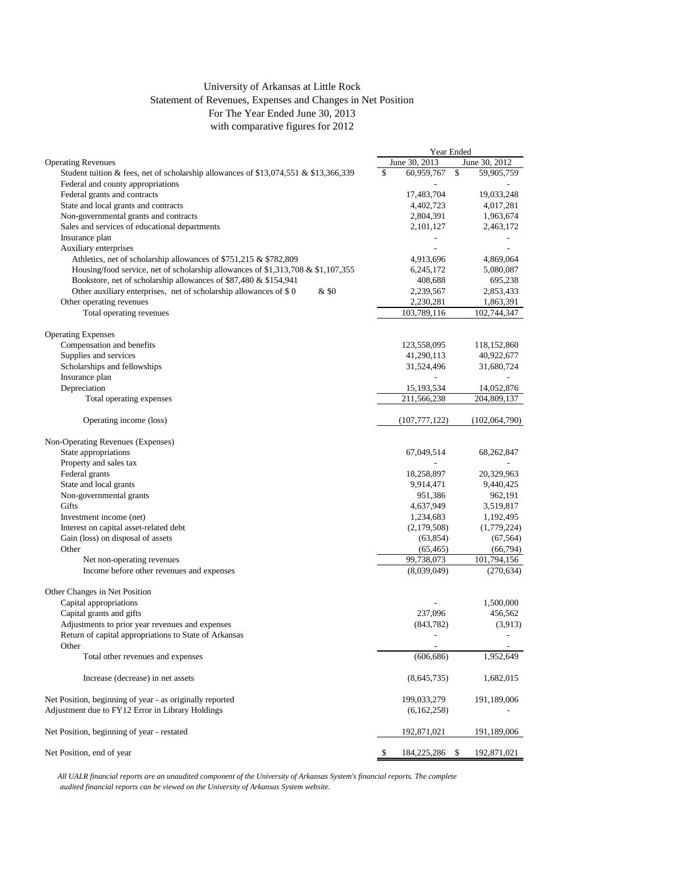## University of Arkansas at Little Rock Statement of Revenues, Expenses and Changes in Net Position For The Year Ended June 30, 2013 with comparative figures for 2012

|                                                                                      | Year Ended |                 |    |                |
|--------------------------------------------------------------------------------------|------------|-----------------|----|----------------|
| <b>Operating Revenues</b>                                                            |            | June 30, 2013   |    | June 30, 2012  |
| Student tuition & fees, net of scholarship allowances of \$13,074,551 & \$13,366,339 | \$         | 60,959,767      | \$ | 59,905,759     |
| Federal and county appropriations                                                    |            |                 |    |                |
| Federal grants and contracts                                                         |            | 17,483,704      |    | 19,033,248     |
| State and local grants and contracts                                                 |            | 4,402,723       |    | 4,017,281      |
| Non-governmental grants and contracts                                                |            | 2,804,391       |    | 1,963,674      |
| Sales and services of educational departments                                        |            | 2,101,127       |    | 2,463,172      |
| Insurance plan                                                                       |            |                 |    |                |
| Auxiliary enterprises                                                                |            |                 |    | $\overline{a}$ |
| Athletics, net of scholarship allowances of \$751,215 & \$782,809                    |            | 4,913,696       |    | 4,869,064      |
| Housing/food service, net of scholarship allowances of \$1,313,708 & \$1,107,355     |            | 6,245,172       |    | 5,080,087      |
| Bookstore, net of scholarship allowances of \$87,480 & \$154,941                     |            | 408,688         |    | 695,238        |
| Other auxiliary enterprises, net of scholarship allowances of $$0$<br>& \$0          |            | 2,239,567       |    | 2,853,433      |
| Other operating revenues                                                             |            | 2,230,281       |    | 1,863,391      |
| Total operating revenues                                                             |            | 103,789,116     |    | 102,744,347    |
|                                                                                      |            |                 |    |                |
| <b>Operating Expenses</b>                                                            |            |                 |    |                |
| Compensation and benefits                                                            |            |                 |    |                |
|                                                                                      |            | 123,558,095     |    | 118,152,860    |
| Supplies and services                                                                |            | 41,290,113      |    | 40,922,677     |
| Scholarships and fellowships                                                         |            | 31,524,496      |    | 31,680,724     |
| Insurance plan                                                                       |            |                 |    |                |
| Depreciation                                                                         |            | 15,193,534      |    | 14,052,876     |
| Total operating expenses                                                             |            | 211,566,238     |    | 204,809,137    |
| Operating income (loss)                                                              |            | (107, 777, 122) |    | (102,064,790)  |
| Non-Operating Revenues (Expenses)                                                    |            |                 |    |                |
| State appropriations                                                                 |            | 67,049,514      |    | 68,262,847     |
| Property and sales tax                                                               |            |                 |    |                |
| Federal grants                                                                       |            | 18,258,897      |    | 20,329,963     |
| State and local grants                                                               |            | 9,914,471       |    | 9,440,425      |
| Non-governmental grants                                                              |            |                 |    |                |
| Gifts                                                                                |            | 951,386         |    | 962,191        |
| Investment income (net)                                                              |            | 4,637,949       |    | 3,519,817      |
|                                                                                      |            | 1,234,683       |    | 1,192,495      |
| Interest on capital asset-related debt                                               |            | (2,179,508)     |    | (1,779,224)    |
| Gain (loss) on disposal of assets                                                    |            | (63, 854)       |    | (67, 564)      |
| Other                                                                                |            | (65, 465)       |    | (66, 794)      |
| Net non-operating revenues                                                           |            | 99,738,073      |    | 101,794,156    |
| Income before other revenues and expenses                                            |            | (8,039,049)     |    | (270, 634)     |
| Other Changes in Net Position                                                        |            |                 |    |                |
| Capital appropriations                                                               |            |                 |    | 1,500,000      |
| Capital grants and gifts                                                             |            | 237,096         |    | 456,562        |
| Adjustments to prior year revenues and expenses                                      |            | (843, 782)      |    | (3.913)        |
| Return of capital appropriations to State of Arkansas                                |            | $\overline{a}$  |    | $\overline{a}$ |
| Other                                                                                |            |                 |    |                |
| Total other revenues and expenses                                                    |            | (606, 686)      |    | 1,952,649      |
| Increase (decrease) in net assets                                                    |            | (8,645,735)     |    | 1,682,015      |
| Net Position, beginning of year - as originally reported                             |            | 199,033,279     |    | 191,189,006    |
| Adjustment due to FY12 Error in Library Holdings                                     |            | (6,162,258)     |    |                |
|                                                                                      |            |                 |    |                |
| Net Position, beginning of year - restated                                           |            | 192,871,021     |    | 191,189,006    |
| Net Position, end of year                                                            | \$.        | 184,225,286 \$  |    | 192,871,021    |

*All UALR financial reports are an unaudited component of the University of Arkansas System's financial reports. The complete audited financial reports can be viewed on the University of Arkansas System website.*